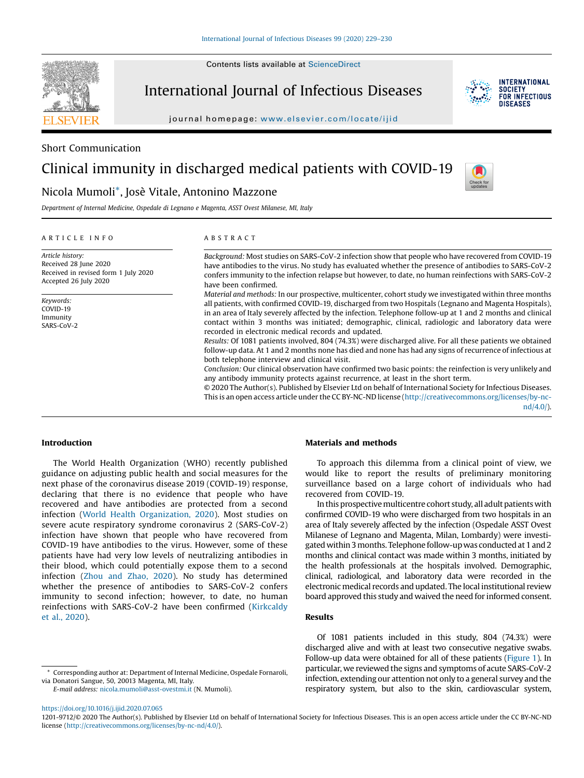Contents lists available at ScienceDirect

**SEVIER** 

International Journal of Infectious Diseases



**INTERNATIONAL SOCIETY** FOR INFECTIOUS DISFASES

journal homepage: www.elsevier.com/locate/ijid

Short Communication

# Clinical immunity in discharged medical patients with COVID-19



Department of Internal Medicine, Ospedale di Legnano e Magenta, ASST Ovest Milanese, MI, Italy

Nicola Mumoli\*, Josè Vitale, Antonino Mazzone

#### A R T I C L E I N F O

Article history: Received 28 June 2020 Received in revised form 1 July 2020 Accepted 26 July 2020

Keywords: COVID-19 Immunity SARS-CoV-2

#### A B S T R A C T

Background: Most studies on SARS-CoV-2 infection show that people who have recovered from COVID-19 have antibodies to the virus. No study has evaluated whether the presence of antibodies to SARS-CoV-2 confers immunity to the infection relapse but however, to date, no human reinfections with SARS-CoV-2 have been confirmed.

Material and methods: In our prospective, multicenter, cohort study we investigated within three months all patients, with confirmed COVID-19, discharged from two Hospitals (Legnano and Magenta Hospitals), in an area of Italy severely affected by the infection. Telephone follow-up at 1 and 2 months and clinical contact within 3 months was initiated; demographic, clinical, radiologic and laboratory data were recorded in electronic medical records and updated.

Results: Of 1081 patients involved, 804 (74.3%) were discharged alive. For all these patients we obtained follow-up data. At 1 and 2 months none has died and none has had any signs of recurrence of infectious at both telephone interview and clinical visit.

Conclusion: Our clinical observation have confirmed two basic points: the reinfection is very unlikely and any antibody immunity protects against recurrence, at least in the short term.

© 2020 The Author(s). Published by Elsevier Ltd on behalf of International Society for Infectious Diseases. This is an open access article under the CC BY-NC-ND license (http://creativecommons.org/licenses/by-ncnd/4.0/).

#### Introduction

The World Health Organization (WHO) recently published guidance on adjusting public health and social measures for the next phase of the coronavirus disease 2019 (COVID-19) response, declaring that there is no evidence that people who have recovered and have antibodies are protected from a second infection (World Health Organization, 2020). Most studies on severe acute respiratory syndrome coronavirus 2 (SARS-CoV-2) infection have shown that people who have recovered from COVID-19 have antibodies to the virus. However, some of these patients have had very low levels of neutralizing antibodies in their blood, which could potentially expose them to a second infection (Zhou and Zhao, 2020). No study has determined whether the presence of antibodies to SARS-CoV-2 confers immunity to second infection; however, to date, no human reinfections with SARS-CoV-2 have been confirmed (Kirkcaldy et al., 2020).

Corresponding author at: Department of Internal Medicine, Ospedale Fornaroli, via Donatori Sangue, 50, 20013 Magenta, MI, Italy.

E-mail address: nicola.mumoli@asst-ovestmi.it (N. Mumoli).

#### Materials and methods

To approach this dilemma from a clinical point of view, we would like to report the results of preliminary monitoring surveillance based on a large cohort of individuals who had recovered from COVID-19.

In this prospective multicentre cohort study, all adult patients with confirmed COVID-19 who were discharged from two hospitals in an area of Italy severely affected by the infection (Ospedale ASST Ovest Milanese of Legnano and Magenta, Milan, Lombardy) were investigated within 3 months. Telephone follow-up was conducted at 1 and 2 months and clinical contact was made within 3 months, initiated by the health professionals at the hospitals involved. Demographic, clinical, radiological, and laboratory data were recorded in the electronic medical records and updated. The local institutional review board approved this study and waived the need for informed consent.

# Results

Of 1081 patients included in this study, 804 (74.3%) were discharged alive and with at least two consecutive negative swabs. Follow-up data were obtained for all of these patients (Figure 1). In particular, we reviewed the signs and symptoms of acute SARS-CoV-2 infection, extending our attention not only to a general survey and the respiratory system, but also to the skin, cardiovascular system,

https://doi.org/10.1016/j.ijid.2020.07.065

<sup>1201-9712/©</sup> 2020 The Author(s). Published by Elsevier Ltd on behalf of International Society for Infectious Diseases. This is an open access article under the CC BY-NC-ND license (http://creativecommons.org/licenses/by-nc-nd/4.0/).